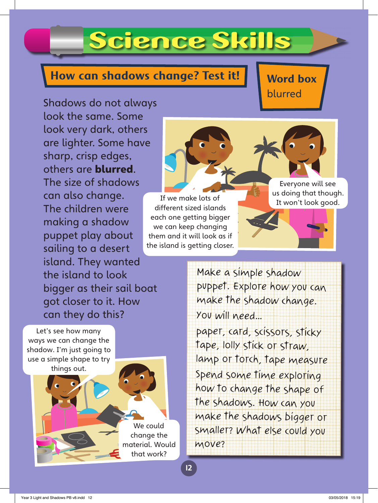## Science Skills

## **How can shadows change? Test it!**

**Word box**  blurred

Shadows do not always look the same. Some look very dark, others are lighter. Some have sharp, crisp edges, others are blurred. The size of shadows can also change. The children were making a shadow puppet play about sailing to a desert island. They wanted the island to look bigger as their sail boat got closer to it. How can they do this?

Let's see how many ways we can change the shadow. I'm just going to use a simple shape to try things out.

> We could change the material. Would that work?

> > 12

If we make lots of the world book good. different sized islands each one getting bigger we can keep changing them and it will look as if the island is getting closer.

Everyone will see us doing that though.

Make a simple shadow puppet. Explore how you can make the shadow change. You will need…

paper, card, scissors, sticky tape, lolly stick or straw, lamp or torch, tape measure Spend some time exploring how to change the shape of the shadows. How can you make the shadows bigger or smaller? What else could you move?